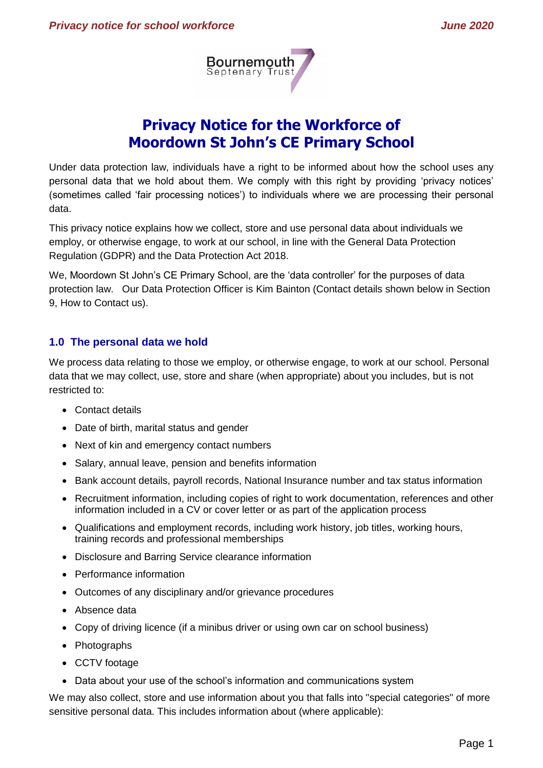

# **Privacy Notice for the Workforce of Moordown St John's CE Primary School**

Under data protection law, individuals have a right to be informed about how the school uses any personal data that we hold about them. We comply with this right by providing 'privacy notices' (sometimes called 'fair processing notices') to individuals where we are processing their personal data.

This privacy notice explains how we collect, store and use personal data about individuals we employ, or otherwise engage, to work at our school, in line with the General Data Protection Regulation (GDPR) and the Data Protection Act 2018.

We, Moordown St John's CE Primary School, are the 'data controller' for the purposes of data protection law. Our Data Protection Officer is Kim Bainton (Contact details shown below in Section 9, How to Contact us).

# **1.0 The personal data we hold**

We process data relating to those we employ, or otherwise engage, to work at our school. Personal data that we may collect, use, store and share (when appropriate) about you includes, but is not restricted to:

- Contact details
- Date of birth, marital status and gender
- Next of kin and emergency contact numbers
- Salary, annual leave, pension and benefits information
- Bank account details, payroll records, National Insurance number and tax status information
- Recruitment information, including copies of right to work documentation, references and other information included in a CV or cover letter or as part of the application process
- Qualifications and employment records, including work history, job titles, working hours, training records and professional memberships
- Disclosure and Barring Service clearance information
- Performance information
- Outcomes of any disciplinary and/or grievance procedures
- Absence data
- Copy of driving licence (if a minibus driver or using own car on school business)
- Photographs
- CCTV footage
- Data about your use of the school's information and communications system

We may also collect, store and use information about you that falls into "special categories" of more sensitive personal data. This includes information about (where applicable):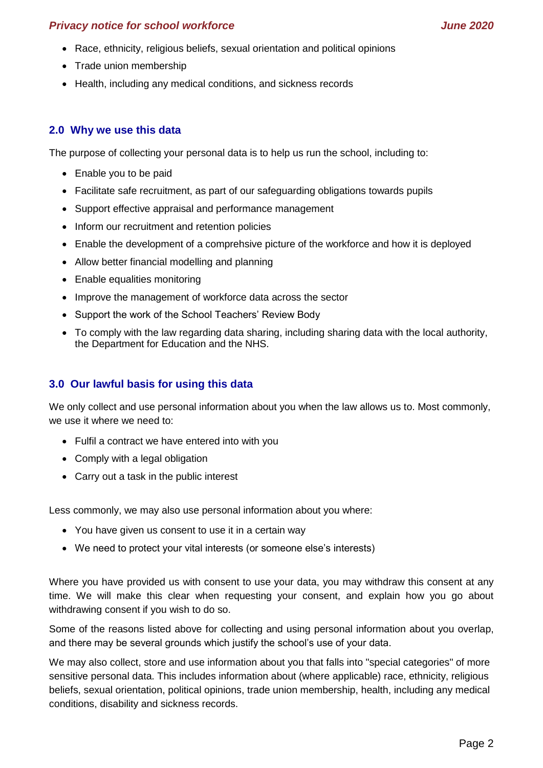- Race, ethnicity, religious beliefs, sexual orientation and political opinions
- Trade union membership
- Health, including any medical conditions, and sickness records

# **2.0 Why we use this data**

The purpose of collecting your personal data is to help us run the school, including to:

- Enable you to be paid
- Facilitate safe recruitment, as part of our safeguarding obligations towards pupils
- Support effective appraisal and performance management
- Inform our recruitment and retention policies
- Enable the development of a comprehsive picture of the workforce and how it is deployed
- Allow better financial modelling and planning
- Enable equalities monitoring
- Improve the management of workforce data across the sector
- Support the work of the School Teachers' Review Body
- To comply with the law regarding data sharing, including sharing data with the local authority, the Department for Education and the NHS.

# **3.0 Our lawful basis for using this data**

We only collect and use personal information about you when the law allows us to. Most commonly, we use it where we need to:

- Fulfil a contract we have entered into with you
- Comply with a legal obligation
- Carry out a task in the public interest

Less commonly, we may also use personal information about you where:

- You have given us consent to use it in a certain way
- We need to protect your vital interests (or someone else's interests)

Where you have provided us with consent to use your data, you may withdraw this consent at any time. We will make this clear when requesting your consent, and explain how you go about withdrawing consent if you wish to do so.

Some of the reasons listed above for collecting and using personal information about you overlap, and there may be several grounds which justify the school's use of your data.

We may also collect, store and use information about you that falls into "special categories" of more sensitive personal data. This includes information about (where applicable) race, ethnicity, religious beliefs, sexual orientation, political opinions, trade union membership, health, including any medical conditions, disability and sickness records.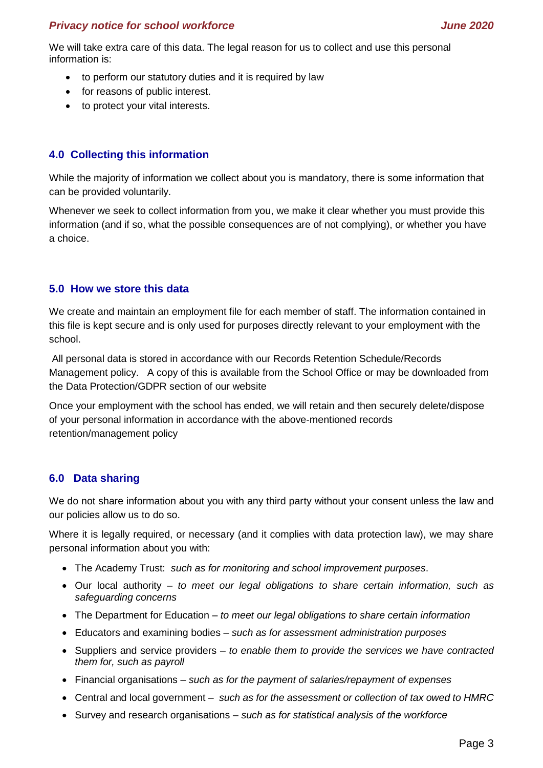We will take extra care of this data. The legal reason for us to collect and use this personal information is:

- to perform our statutory duties and it is required by law
- for reasons of public interest.
- to protect your vital interests.

# **4.0 Collecting this information**

While the majority of information we collect about you is mandatory, there is some information that can be provided voluntarily.

Whenever we seek to collect information from you, we make it clear whether you must provide this information (and if so, what the possible consequences are of not complying), or whether you have a choice.

# **5.0 How we store this data**

We create and maintain an employment file for each member of staff. The information contained in this file is kept secure and is only used for purposes directly relevant to your employment with the school.

All personal data is stored in accordance with our Records Retention Schedule/Records Management policy. A copy of this is available from the School Office or may be downloaded from the Data Protection/GDPR section of our website

Once your employment with the school has ended, we will retain and then securely delete/dispose of your personal information in accordance with the above-mentioned records retention/management policy

# **6.0 Data sharing**

We do not share information about you with any third party without your consent unless the law and our policies allow us to do so.

Where it is legally required, or necessary (and it complies with data protection law), we may share personal information about you with:

- The Academy Trust: *such as for monitoring and school improvement purposes*.
- Our local authority *to meet our legal obligations to share certain information, such as safeguarding concerns*
- The Department for Education *to meet our legal obligations to share certain information*
- Educators and examining bodies *such as for assessment administration purposes*
- Suppliers and service providers *to enable them to provide the services we have contracted them for, such as payroll*
- Financial organisations *such as for the payment of salaries/repayment of expenses*
- Central and local government *such as for the assessment or collection of tax owed to HMRC*
- Survey and research organisations *such as for statistical analysis of the workforce*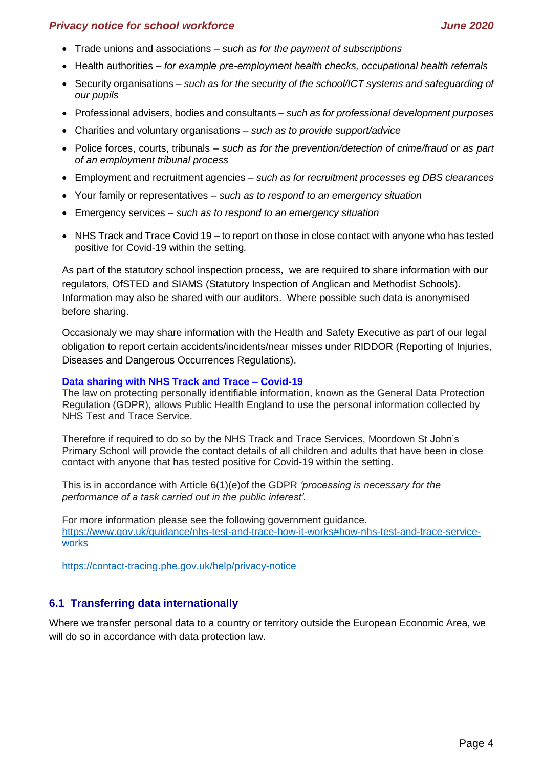- Trade unions and associations *such as for the payment of subscriptions*
- Health authorities *for example pre-employment health checks, occupational health referrals*
- Security organisations *such as for the security of the school/ICT systems and safeguarding of our pupils*
- Professional advisers, bodies and consultants *such as for professional development purposes*
- Charities and voluntary organisations *such as to provide support/advice*
- Police forces, courts, tribunals *such as for the prevention/detection of crime/fraud or as part of an employment tribunal process*
- Employment and recruitment agencies *such as for recruitment processes eg DBS clearances*
- Your family or representatives *such as to respond to an emergency situation*
- Emergency services *such as to respond to an emergency situation*
- NHS Track and Trace Covid 19 to report on those in close contact with anyone who has tested positive for Covid-19 within the setting*.*

As part of the statutory school inspection process, we are required to share information with our regulators, OfSTED and SIAMS (Statutory Inspection of Anglican and Methodist Schools). Information may also be shared with our auditors. Where possible such data is anonymised before sharing.

Occasionaly we may share information with the Health and Safety Executive as part of our legal obligation to report certain accidents/incidents/near misses under RIDDOR (Reporting of Injuries, Diseases and Dangerous Occurrences Regulations).

#### **Data sharing with NHS Track and Trace – Covid-19**

The law on protecting personally identifiable information, known as the General Data Protection Regulation (GDPR), allows Public Health England to use the personal information collected by NHS Test and Trace Service.

Therefore if required to do so by the NHS Track and Trace Services, Moordown St John's Primary School will provide the contact details of all children and adults that have been in close contact with anyone that has tested positive for Covid-19 within the setting.

This is in accordance with Article 6(1)(e)of the GDPR *'processing is necessary for the performance of a task carried out in the public interest'.*

For more information please see the following government guidance. [https://www.gov.uk/guidance/nhs-test-and-trace-how-it-works#how-nhs-test-and-trace-service](https://www.gov.uk/guidance/nhs-test-and-trace-how-it-works#how-nhs-test-and-trace-service-works)[works](https://www.gov.uk/guidance/nhs-test-and-trace-how-it-works#how-nhs-test-and-trace-service-works)

<https://contact-tracing.phe.gov.uk/help/privacy-notice>

# **6.1 Transferring data internationally**

Where we transfer personal data to a country or territory outside the European Economic Area, we will do so in accordance with data protection law.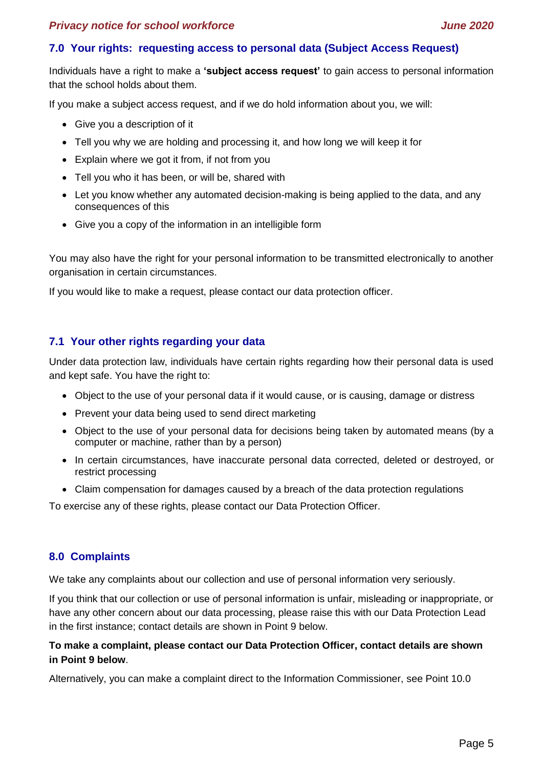#### **7.0 Your rights: requesting access to personal data (Subject Access Request)**

Individuals have a right to make a **'subject access request'** to gain access to personal information that the school holds about them.

If you make a subject access request, and if we do hold information about you, we will:

- Give you a description of it
- Tell you why we are holding and processing it, and how long we will keep it for
- Explain where we got it from, if not from you
- Tell you who it has been, or will be, shared with
- Let you know whether any automated decision-making is being applied to the data, and any consequences of this
- Give you a copy of the information in an intelligible form

You may also have the right for your personal information to be transmitted electronically to another organisation in certain circumstances.

If you would like to make a request, please contact our data protection officer.

#### **7.1 Your other rights regarding your data**

Under data protection law, individuals have certain rights regarding how their personal data is used and kept safe. You have the right to:

- Object to the use of your personal data if it would cause, or is causing, damage or distress
- Prevent your data being used to send direct marketing
- Object to the use of your personal data for decisions being taken by automated means (by a computer or machine, rather than by a person)
- In certain circumstances, have inaccurate personal data corrected, deleted or destroyed, or restrict processing
- Claim compensation for damages caused by a breach of the data protection regulations

To exercise any of these rights, please contact our Data Protection Officer.

#### **8.0 Complaints**

We take any complaints about our collection and use of personal information very seriously.

If you think that our collection or use of personal information is unfair, misleading or inappropriate, or have any other concern about our data processing, please raise this with our Data Protection Lead in the first instance; contact details are shown in Point 9 below.

#### **To make a complaint, please contact our Data Protection Officer, contact details are shown in Point 9 below**.

Alternatively, you can make a complaint direct to the Information Commissioner, see Point 10.0